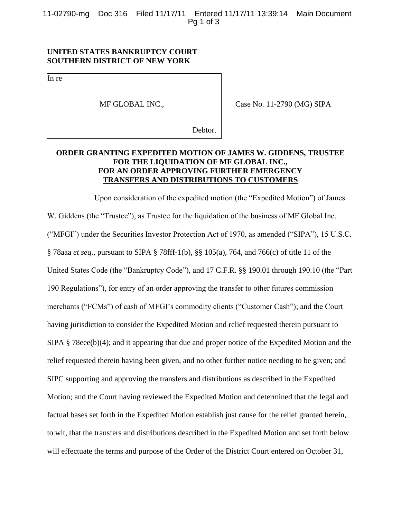11-02790-mg Doc 316 Filed 11/17/11 Entered 11/17/11 13:39:14 Main Document Pg 1 of 3

## **UNITED STATES BANKRUPTCY COURT SOUTHERN DISTRICT OF NEW YORK**

In re

MF GLOBAL INC.,

Case No. 11-2790 (MG) SIPA

Debtor.

## **ORDER GRANTING EXPEDITED MOTION OF JAMES W. GIDDENS, TRUSTEE FOR THE LIQUIDATION OF MF GLOBAL INC., FOR AN ORDER APPROVING FURTHER EMERGENCY TRANSFERS AND DISTRIBUTIONS TO CUSTOMERS**

Upon consideration of the expedited motion (the "Expedited Motion") of James W. Giddens (the "Trustee"), as Trustee for the liquidation of the business of MF Global Inc. ("MFGI") under the Securities Investor Protection Act of 1970, as amended ("SIPA"), 15 U.S.C. § 78aaa *et seq*., pursuant to SIPA § 78fff-1(b), §§ 105(a), 764, and 766(c) of title 11 of the United States Code (the "Bankruptcy Code"), and 17 C.F.R. §§ 190.01 through 190.10 (the "Part 190 Regulations"), for entry of an order approving the transfer to other futures commission merchants ("FCMs") of cash of MFGI's commodity clients ("Customer Cash"); and the Court having jurisdiction to consider the Expedited Motion and relief requested therein pursuant to SIPA § 78eee(b)(4); and it appearing that due and proper notice of the Expedited Motion and the relief requested therein having been given, and no other further notice needing to be given; and SIPC supporting and approving the transfers and distributions as described in the Expedited Motion; and the Court having reviewed the Expedited Motion and determined that the legal and factual bases set forth in the Expedited Motion establish just cause for the relief granted herein, to wit, that the transfers and distributions described in the Expedited Motion and set forth below will effectuate the terms and purpose of the Order of the District Court entered on October 31,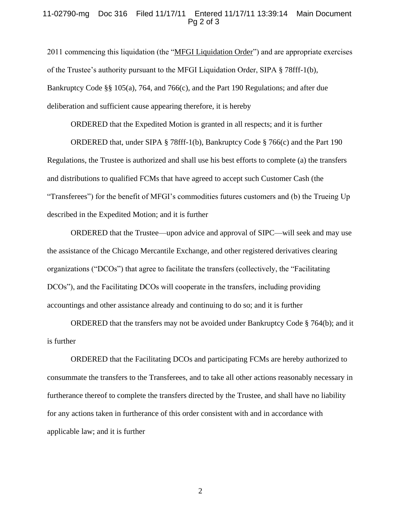## 11-02790-mg Doc 316 Filed 11/17/11 Entered 11/17/11 13:39:14 Main Document Pg 2 of 3

2011 commencing this liquidation (the "MFGI Liquidation Order") and are appropriate exercises of the Trustee's authority pursuant to the MFGI Liquidation Order, SIPA § 78fff-1(b), Bankruptcy Code §§ 105(a), 764, and 766(c), and the Part 190 Regulations; and after due deliberation and sufficient cause appearing therefore, it is hereby

ORDERED that the Expedited Motion is granted in all respects; and it is further

ORDERED that, under SIPA § 78fff-1(b), Bankruptcy Code § 766(c) and the Part 190 Regulations, the Trustee is authorized and shall use his best efforts to complete (a) the transfers and distributions to qualified FCMs that have agreed to accept such Customer Cash (the "Transferees") for the benefit of MFGI's commodities futures customers and (b) the Trueing Up described in the Expedited Motion; and it is further

ORDERED that the Trustee—upon advice and approval of SIPC—will seek and may use the assistance of the Chicago Mercantile Exchange, and other registered derivatives clearing organizations ("DCOs") that agree to facilitate the transfers (collectively, the "Facilitating DCOs"), and the Facilitating DCOs will cooperate in the transfers, including providing accountings and other assistance already and continuing to do so; and it is further

ORDERED that the transfers may not be avoided under Bankruptcy Code  $\S$  764(b); and it is further

ORDERED that the Facilitating DCOs and participating FCMs are hereby authorized to consummate the transfers to the Transferees, and to take all other actions reasonably necessary in furtherance thereof to complete the transfers directed by the Trustee, and shall have no liability for any actions taken in furtherance of this order consistent with and in accordance with applicable law; and it is further

2